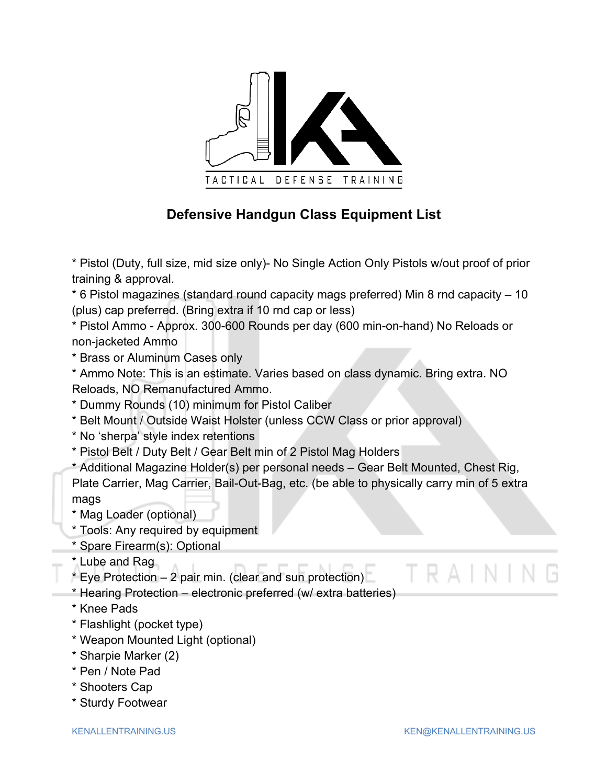

## **Defensive Handgun Class Equipment List**

\* Pistol (Duty, full size, mid size only)- No Single Action Only Pistols w/out proof of prior training & approval.

 $*$  6 Pistol magazines (standard round capacity mags preferred) Min 8 rnd capacity  $-10$ (plus) cap preferred. (Bring extra if 10 rnd cap or less)

\* Pistol Ammo - Approx. 300-600 Rounds per day (600 min-on-hand) No Reloads or non-jacketed Ammo

\* Brass or Aluminum Cases only

\* Ammo Note: This is an estimate. Varies based on class dynamic. Bring extra. NO Reloads, NO Remanufactured Ammo.

- \* Dummy Rounds (10) minimum for Pistol Caliber
- \* Belt Mount / Outside Waist Holster (unless CCW Class or prior approval)
- \* No 'sherpa' style index retentions
- \* Pistol Belt / Duty Belt / Gear Belt min of 2 Pistol Mag Holders

\* Additional Magazine Holder(s) per personal needs ‒ Gear Belt Mounted, Chest Rig, Plate Carrier, Mag Carrier, Bail-Out-Bag, etc. (be able to physically carry min of 5 extra mags

- \* Mag Loader (optional)
- \* Tools: Any required by equipment
- \* Spare Firearm(s): Optional
- \* Lube and Rag
- $*$  Eye Protection  $-$  2 pair min. (clear and sun protection)
- \* Hearing Protection ‒ electronic preferred (w/ extra batteries)
- \* Knee Pads
- \* Flashlight (pocket type)
- \* Weapon Mounted Light (optional)
- \* Sharpie Marker (2)
- \* Pen / Note Pad
- \* Shooters Cap
- \* Sturdy Footwear